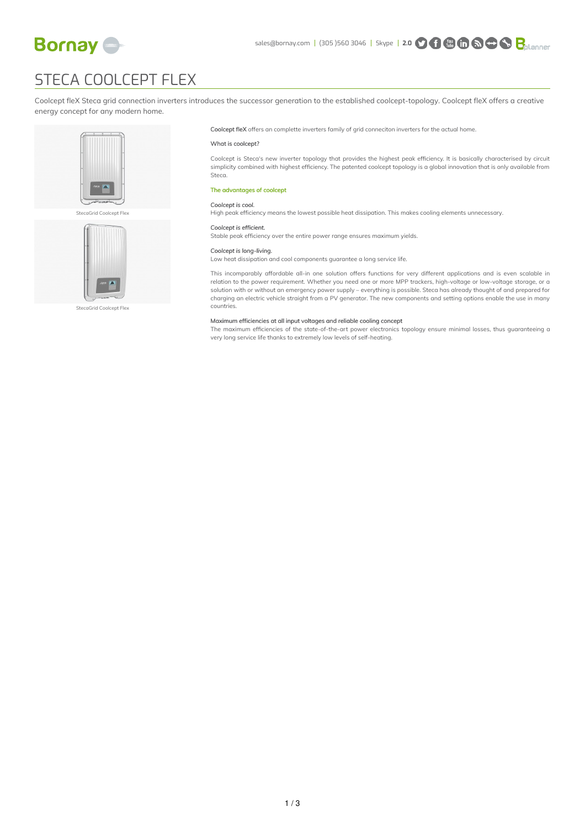

# STECA COOLCEPT FLEX

Coolcept fleX Steca grid connection inverters introduces the successor generation to the established coolcept-topology. Coolcept fleX offers a creative energy concept for any modern home.







StecaGrid Coolcept Flex

Coolcept fleX offers an complette inverters family of grid conneciton inverters for the actual home.

## What is coolcept?

Coolcept is Steca's new inverter topology that provides the highest peak efficiency. It is basically characterised by circuit simplicity combined with highest efficiency. The patented coolcept topology is a global innovation that is only available from Steca.

# The advantages of coolcept

# *Coolcept is cool.*

High peak efficiency means the lowest possible heat dissipation. This makes cooling elements unnecessary.

#### *Coolcept is efficient.*

Stable peak efficiency over the entire power range ensures maximum yields.

## *Coolcept is long-living.*

Low heat dissipation and cool components guarantee a long service life.

This incomparably affordable all-in one solution offers functions for very different applications and is even scalable in relation to the power requirement. Whether you need one or more MPP trackers, high-voltage or low-voltage storage, or a solution with or without an emergency power supply – everything is possible. Steca has already thought of and prepared for charging an electric vehicle straight from a PV generator. The new components and setting options enable the use in many countries.

## Maximum efficiencies at all input voltages and reliable cooling concept

The maximum efficiencies of the state-of-the-art power electronics topology ensure minimal losses, thus guaranteeing a very long service life thanks to extremely low levels of self-heating.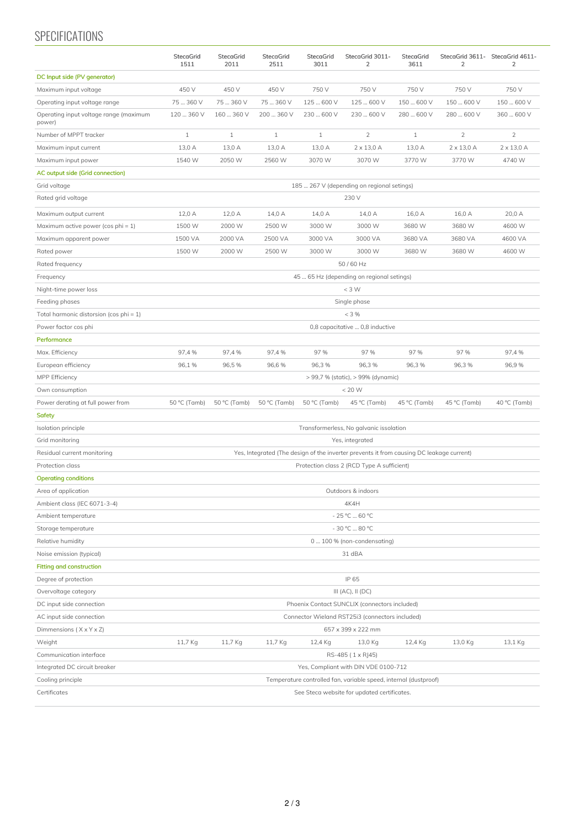# SPECIFICATIONS

|                                                  | StecaGrid<br>1511                                                                        | <b>StecaGrid</b><br>2011 | StecaGrid<br>2511 | StecaGrid<br>3011 | StecaGrid 3011-<br>2 | StecaGrid<br>3611 | $\overline{2}$    | StecaGrid 3611- StecaGrid 4611-<br>$\overline{2}$ |
|--------------------------------------------------|------------------------------------------------------------------------------------------|--------------------------|-------------------|-------------------|----------------------|-------------------|-------------------|---------------------------------------------------|
| DC Input side (PV generator)                     |                                                                                          |                          |                   |                   |                      |                   |                   |                                                   |
| Maximum input voltage                            | 450 V                                                                                    | 450 V                    | 450 V             | 750 V             | 750 V                | 750 V             | 750 V             | 750 V                                             |
| Operating input voltage range                    | 75  360 V                                                                                | 75  360 V                | 75  360 V         | 125  600 V        | 125  600 V           | 150  600 V        | 150  600 V        | 150  600 V                                        |
| Operating input voltage range (maximum<br>power) | 120  360 V                                                                               | 160  360 V               | 200  360 V        | 230  600 V        | 230  600 V           | 280  600 V        | 280  600 V        | 360  600 V                                        |
| Number of MPPT tracker                           | $\mathbf{1}$                                                                             | $\mathbf{1}$             | $\mathbf{1}$      | $\mathbf{1}$      | $\overline{2}$       | $\mathbf{1}$      | $\overline{2}$    | $\overline{2}$                                    |
| Maximum input current                            | 13,0 A                                                                                   | 13,0 A                   | 13,0 A            | 13,0 A            | $2 \times 13,0$ A    | 13,0 A            | $2 \times 13,0$ A | $2 \times 13,0$ A                                 |
| Maximum input power                              | 1540 W                                                                                   | 2050 W                   | 2560 W            | 3070 W            | 3070 W               | 3770 W            | 3770 W            | 4740 W                                            |
| AC output side (Grid connection)                 |                                                                                          |                          |                   |                   |                      |                   |                   |                                                   |
| Grid voltage                                     | 185  267 V (depending on regional setings)                                               |                          |                   |                   |                      |                   |                   |                                                   |
| Rated grid voltage                               | 230 V                                                                                    |                          |                   |                   |                      |                   |                   |                                                   |
| Maximum output current                           | 12,0 A                                                                                   | 12,0 A                   | 14,0 A            | 14,0 A            | 14,0 A               | 16,0 A            | 16,0 A            | 20,0 A                                            |
| Maximum active power (cos phi = $1$ )            | 1500 W                                                                                   | 2000 W                   | 2500 W            | 3000 W            | 3000W                | 3680 W            | 3680 W            | 4600 W                                            |
| Maximum apparent power                           | 1500 VA                                                                                  | 2000 VA                  | 2500 VA           | 3000 VA           | 3000 VA              | 3680 VA           | 3680 VA           | 4600 VA                                           |
| Rated power                                      | 1500 W                                                                                   | 2000 W                   | 2500 W            | 3000 W            | 3000W                | 3680 W            | 3680 W            | 4600 W                                            |
| Rated frequency                                  | 50/60 Hz                                                                                 |                          |                   |                   |                      |                   |                   |                                                   |
| Frequency                                        | 45  65 Hz (depending on regional setings)                                                |                          |                   |                   |                      |                   |                   |                                                   |
| Night-time power loss                            | $<$ 3 W                                                                                  |                          |                   |                   |                      |                   |                   |                                                   |
| Feeding phases                                   | Single phase                                                                             |                          |                   |                   |                      |                   |                   |                                                   |
| Total harmonic distorsion (cos phi = 1)          | < 3%                                                                                     |                          |                   |                   |                      |                   |                   |                                                   |
| Power factor cos phi                             | 0,8 capacitative  0,8 inductive                                                          |                          |                   |                   |                      |                   |                   |                                                   |
| Performance                                      |                                                                                          |                          |                   |                   |                      |                   |                   |                                                   |
| Max. Efficiency                                  | 97,4%                                                                                    | 97,4 %                   | 97,4%             | 97 %              | 97 %                 | 97 %              | 97 %              | 97,4%                                             |
| European efficiency                              | 96,1%                                                                                    | 96,5%                    | 96,6%             | 96,3%             | 96,3%                | 96,3%             | 96,3%             | 96,9%                                             |
| MPP Efficiency                                   | > 99,7 % (static), > 99% (dynamic)                                                       |                          |                   |                   |                      |                   |                   |                                                   |
| Own consumption                                  | < 20 W                                                                                   |                          |                   |                   |                      |                   |                   |                                                   |
| Power derating at full power from                | 50 °C (Tamb)                                                                             | 50 °C (Tamb)             | 50 °C (Tamb)      | 50 °C (Tamb)      | 45 °C (Tamb)         | 45 °C (Tamb)      | 45 °C (Tamb)      | 40 °C (Tamb)                                      |
| Safety                                           |                                                                                          |                          |                   |                   |                      |                   |                   |                                                   |
| Isolation principle                              | Transformerless, No galvanic issolation                                                  |                          |                   |                   |                      |                   |                   |                                                   |
| Grid monitoring                                  | Yes, integrated                                                                          |                          |                   |                   |                      |                   |                   |                                                   |
| Residual current monitoring                      | Yes, Integrated (The design of the inverter prevents it from causing DC leakage current) |                          |                   |                   |                      |                   |                   |                                                   |
| Protection class                                 | Protection class 2 (RCD Type A sufficient)                                               |                          |                   |                   |                      |                   |                   |                                                   |
| <b>Operating conditions</b>                      |                                                                                          |                          |                   |                   |                      |                   |                   |                                                   |
| Area of application                              | Outdoors & indoors                                                                       |                          |                   |                   |                      |                   |                   |                                                   |
| Ambient class (IEC 6071-3-4)                     | 4K4H                                                                                     |                          |                   |                   |                      |                   |                   |                                                   |
| Ambient temperature                              | $-25 °C  60 °C$                                                                          |                          |                   |                   |                      |                   |                   |                                                   |
| Storage temperature                              | - 30 °C  80 °C                                                                           |                          |                   |                   |                      |                   |                   |                                                   |
| Relative humidity                                | 0  100 % (non-condensating)                                                              |                          |                   |                   |                      |                   |                   |                                                   |
| Noise emission (typical)                         | 31 dBA                                                                                   |                          |                   |                   |                      |                   |                   |                                                   |
| <b>Fitting and construction</b>                  |                                                                                          |                          |                   |                   |                      |                   |                   |                                                   |
| Degree of protection                             |                                                                                          |                          |                   |                   | IP 65                |                   |                   |                                                   |
| Overvoltage category                             | III (AC), II (DC)                                                                        |                          |                   |                   |                      |                   |                   |                                                   |
| DC input side connection                         | Phoenix Contact SUNCLIX (connectors included)                                            |                          |                   |                   |                      |                   |                   |                                                   |
| AC input side connection                         | Connector Wieland RST25i3 (connectors included)                                          |                          |                   |                   |                      |                   |                   |                                                   |
| Dimmensions $(X \times Y \times Z)$              |                                                                                          |                          |                   |                   | 657 x 399 x 222 mm   |                   |                   |                                                   |
| Weight                                           | 11,7 Kg                                                                                  | 11,7 Kg                  | 11,7 Kg           | 12,4 Kg           | 13,0 Kg              | 12,4 Kg           | 13,0 Kg           | 13,1 Kg                                           |
| Communication interface                          | RS-485 (1 x RJ45)                                                                        |                          |                   |                   |                      |                   |                   |                                                   |
| Integrated DC circuit breaker                    | Yes, Compliant with DIN VDE 0100-712                                                     |                          |                   |                   |                      |                   |                   |                                                   |
| Cooling principle                                | Temperature controlled fan, variable speed, internal (dustproof)                         |                          |                   |                   |                      |                   |                   |                                                   |
| Certificates                                     | See Steca website for updated certificates.                                              |                          |                   |                   |                      |                   |                   |                                                   |